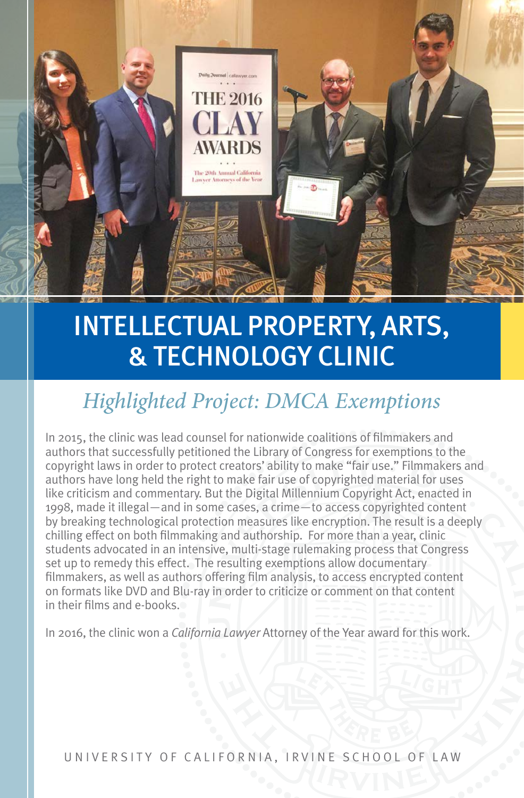

# INTELLECTUAL PROPERTY, ARTS, & TECHNOLOGY CLINIC

### *Highlighted Project: DMCA Exemptions*

In 2015, the clinic was lead counsel for nationwide coalitions of filmmakers and authors that successfully petitioned the Library of Congress for exemptions to the copyright laws in order to protect creators' ability to make "fair use." Filmmakers and authors have long held the right to make fair use of copyrighted material for uses like criticism and commentary. But the Digital Millennium Copyright Act, enacted in 1998, made it illegal—and in some cases, a crime—to access copyrighted content by breaking technological protection measures like encryption. The result is a deeply chilling effect on both filmmaking and authorship. For more than a year, clinic students advocated in an intensive, multi-stage rulemaking process that Congress set up to remedy this effect. The resulting exemptions allow documentary filmmakers, as well as authors offering film analysis, to access encrypted content on formats like DVD and Blu-ray in order to criticize or comment on that content in their films and e-books.

In 2016, the clinic won a *California Lawyer* Attorney of the Year award for this work.

UNIVERSITY OF CALIFORNIA, IRVINE SCHOOL OF LAW